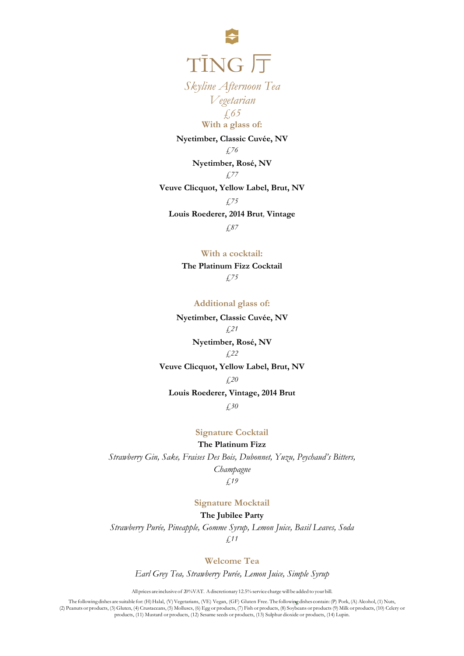

*Skyline Afternoon Tea Vegetarian £65*

**With a glass of:**

**Nyetimber, Classic Cuvée, NV**

*£76*

**Nyetimber, Rosé, NV**

*£77*

#### **Veuve Clicquot, Yellow Label, Brut, NV**

*£75*

**Louis Roederer, 2014 Brut***,* **Vintage**

*£87*

**With a cocktail:**

**The Platinum Fizz Cocktail** *£75*

**Additional glass of:**

**Nyetimber, Classic Cuvée, NV** *£21*

> **Nyetimber, Rosé, NV** *£22*

**Veuve Clicquot, Yellow Label, Brut, NV**

*£20*

**Louis Roederer, Vintage, 2014 Brut**

*£30*

## **Signature Cocktail**

#### **The Platinum Fizz**

*Strawberry Gin, Sake, Fraises Des Bois, Dubonnet, Yuzu, Peychaud's Bitters, Champagne*

*£19*

## **Signature Mocktail**

**The Jubilee Party**

*Strawberry Purée, Pineapple, Gomme Syrup, Lemon Juice, Basil Leaves, Soda £11*

**Welcome Tea**

*Earl Grey Tea, Strawberry Purée, Lemon Juice, Simple Syrup*

All prices are inclusive of 20% VAT. Adiscretionary 12.5% service chargewill be added to your bill.

The following dishes are suitable for: (H)Halal, (V)Vegetarians, (VE) Vegan, (GF) Gluten Free. The following dishes contain: (P) Pork, (A) Alcohol, (1) Nuts, (2) Peanuts or products, (3) Gluten, (4) Crustaceans, (5) Molluscs, (6) Egg or products, (7) Fish or products, (8) Soybeans or products (9) Milk or products, (10) Celery or products, (11) Mustard or products, (12) Sesame seeds or products, (13) Sulphur dioxide or products, (14) Lupin.